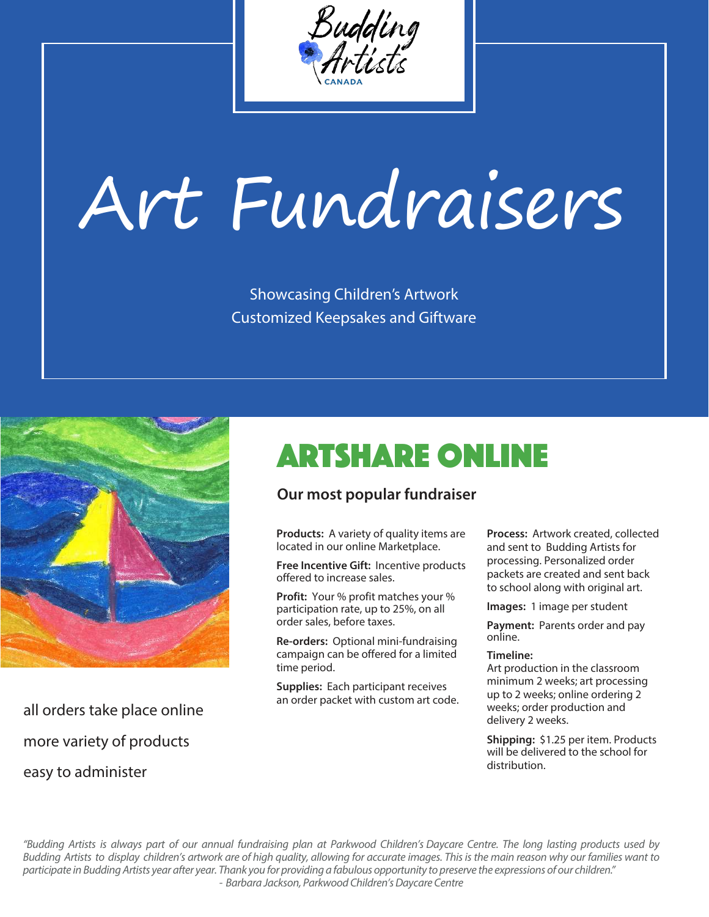

# Art Fundraisers

Showcasing Children's Artwork Customized Keepsakes and Giftware



all orders take place online more variety of products easy to administer

## artshare online

#### **Our most popular fundraiser**

**Products:** A variety of quality items are located in our online Marketplace.

**Free Incentive Gift:** Incentive products offered to increase sales.

**Profit:** Your % profit matches your % participation rate, up to 25%, on all order sales, before taxes.

**Re-orders:** Optional mini-fundraising campaign can be offered for a limited time period.

**Supplies:** Each participant receives an order packet with custom art code. **Process:** Artwork created, collected and sent to Budding Artists for processing. Personalized order packets are created and sent back to school along with original art.

**Images:** 1 image per student

**Payment:** Parents order and pay online.

#### **Timeline:**

Art production in the classroom minimum 2 weeks; art processing up to 2 weeks; online ordering 2 weeks; order production and delivery 2 weeks.

**Shipping:** \$1.25 per item. Products will be delivered to the school for distribution.

"Budding Artists is always part of our annual fundraising plan at Parkwood Children's Daycare Centre. The long lasting products used by Budding Artists to display children's artwork are of high quality, allowing for accurate images. This is the main reason why our families want to participate in Budding Artists year after year. Thank you for providing a fabulous opportunity to preserve the expressions of our children." - Barbara Jackson, Parkwood Children's Daycare Centre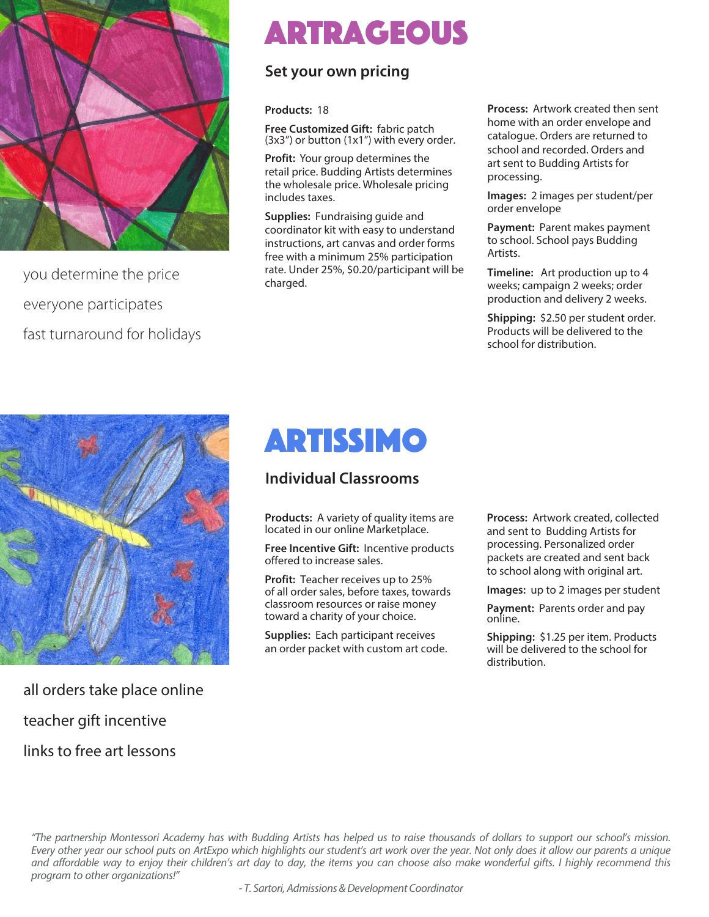

you determine the price everyone participates fast turnaround for holidays

### Artrageous

#### **Set your own pricing**

**Products:** 18

**Free Customized Gift:** fabric patch  $(3x3'')$  or button  $(1x1'')$  with every order.

**Profit:** Your group determines the retail price. Budding Artists determines the wholesale price. Wholesale pricing includes taxes.

**Supplies:** Fundraising guide and coordinator kit with easy to understand instructions, art canvas and order forms free with a minimum 25% participation rate. Under 25%, \$0.20/participant will be charged.

**Process:** Artwork created then sent home with an order envelope and catalogue. Orders are returned to school and recorded. Orders and art sent to Budding Artists for processing.

**Images:** 2 images per student/per order envelope

**Payment:** Parent makes payment to school. School pays Budding Artists.

**Timeline:** Art production up to 4 weeks; campaign 2 weeks; order production and delivery 2 weeks.

**Shipping:** \$2.50 per student order. Products will be delivered to the school for distribution.



all orders take place online teacher gift incentive links to free art lessons

### artissimo

#### **Individual Classrooms**

**Products:** A variety of quality items are located in our online Marketplace.

**Free Incentive Gift:** Incentive products offered to increase sales.

**Profit:** Teacher receives up to 25% of all order sales, before taxes, towards classroom resources or raise money toward a charity of your choice.

**Supplies:** Each participant receives an order packet with custom art code. **Process:** Artwork created, collected and sent to Budding Artists for processing. Personalized order packets are created and sent back to school along with original art.

**Images:** up to 2 images per student

**Payment:** Parents order and pay online.

**Shipping:** \$1.25 per item. Products will be delivered to the school for distribution.

"The partnership Montessori Academy has with Budding Artists has helped us to raise thousands of dollars to support our school's mission. Every other year our school puts on ArtExpo which highlights our student's art work over the year. Not only does it allow our parents a unique and affordable way to enjoy their children's art day to day, the items you can choose also make wonderful gifts. I highly recommend this program to other organizations!"